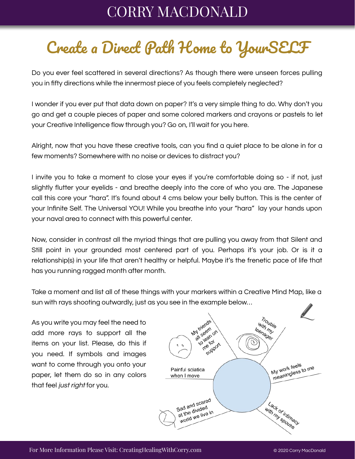## CORRY MACDONALD

## Create a Direct Path Home to YourSELF

Do you ever feel scattered in several directions? As though there were unseen forces pulling you in fifty directions while the innermost piece of you feels completely neglected?

I wonder if you ever put that data down on paper? It's a very simple thing to do. Why don't you go and get a couple pieces of paper and some colored markers and crayons or pastels to let your Creative Intelligence flow through you? Go on, I'll wait for you here.

Alright, now that you have these creative tools, can you find a quiet place to be alone in for a few moments? Somewhere with no noise or devices to distract you?

I invite you to take a moment to close your eyes if you're comfortable doing so - if not, just slightly flutter your eyelids - and breathe deeply into the core of who you are. The Japanese call this core your "hara". It's found about 4 cms below your belly button. This is the center of your Infinite Self. The Universal YOU! While you breathe into your "hara" lay your hands upon your naval area to connect with this powerful center.

Now, consider in contrast all the myriad things that are pulling you away from that Silent and Still point in your grounded most centered part of you. Perhaps it's your job. Or is it a relationship(s) in your life that aren't healthy or helpful. Maybe it's the frenetic pace of life that has you running ragged month after month.

Take a moment and list all of these things with your markers within a Creative Mind Map, like a sun with rays shooting outwardly, just as you see in the example below…

As you write you may feel the need to add more rays to support all the items on your list. Please, do this if you need. If symbols and images want to come through you onto your paper, let them do so in any colors that feel just right for you.

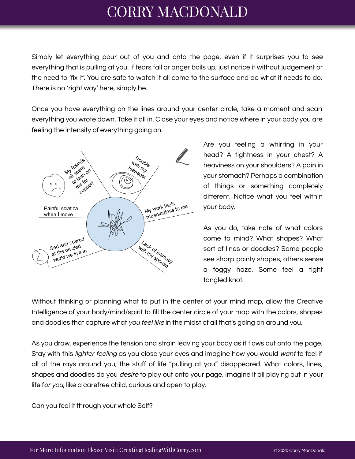## CORRY MACDONALD

Simply let everything pour out of you and onto the page, even if it surprises you to see everything that is pulling at you. If tears fall or anger boils up, just notice it without judgement or the need to 'fix it'. You are safe to watch it all come to the surface and do what it needs to do. There is no 'right way' here, simply be.

Once you have everything on the lines around your center circle, take a moment and scan everything you wrote down. Take it all in. Close your eyes and notice where in your body you are feeling the intensity of everything going on.



Are you feeling a whirring in your head? A tightness in your chest? A heaviness on your shoulders? A pain in your stomach? Perhaps a combination of things or something completely different. Notice what you feel within your body.

As you do, take note of what colors come to mind? What shapes? What sort of lines or doodles? Some people see sharp pointy shapes, others sense a foggy haze. Some feel a tight tangled knot.

Without thinking or planning what to put in the center of your mind map, allow the Creative Intelligence of your body/mind/spirit to fill the center circle of your map with the colors, shapes and doodles that capture what you feel like in the midst of all that's going on around you.

As you draw, experience the tension and strain leaving your body as it flows out onto the page. Stay with this *lighter feeling* as you close your eyes and imagine how you would want to feel if all of the rays around you, the stuff of life "pulling at you" disappeared. What colors, lines, shapes and doodles do you desire to play out onto your page. Imagine it all playing out in your life for you, like a carefree child, curious and open to play.

Can you feel it through your whole Self?